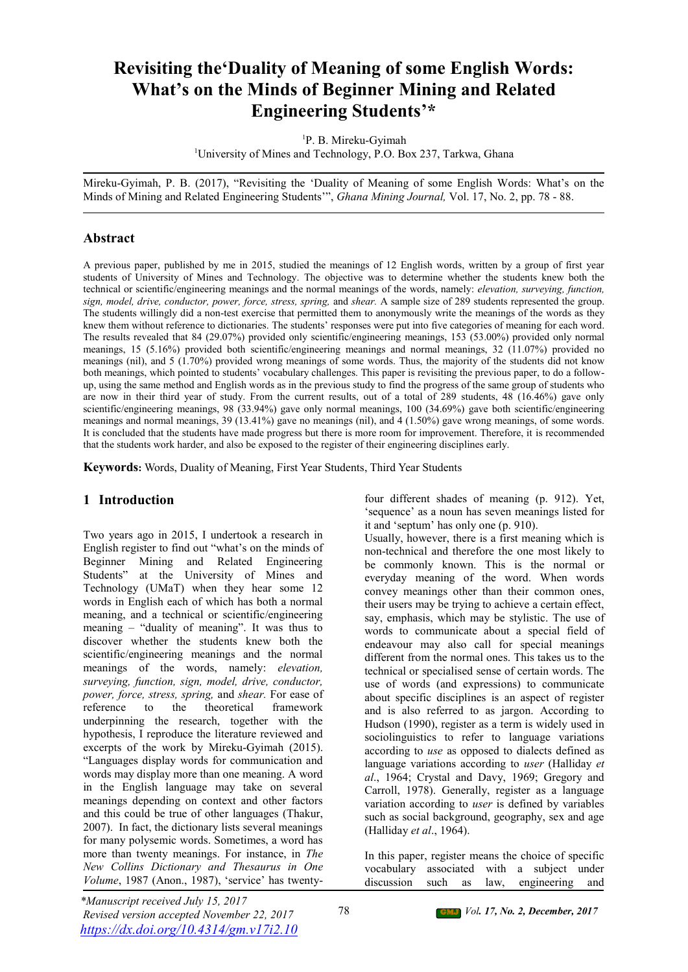# **Revisiting the'Duality of Meaning of some English Words: What's on the Minds of Beginner Mining and Related Engineering Students'\***

<sup>1</sup>P. B. Mireku-Gyimah <sup>1</sup>University of Mines and Technology, P.O. Box 237, Tarkwa, Ghana

Mireku-Gyimah, P. B. (2017), "Revisiting the 'Duality of Meaning of some English Words: What's on the Minds of Mining and Related Engineering Students'", *Ghana Mining Journal,* Vol. 17, No. 2, pp. 78 - 88.

#### **Abstract**

A previous paper, published by me in 2015, studied the meanings of 12 English words, written by a group of first year students of University of Mines and Technology. The objective was to determine whether the students knew both the technical or scientific/engineering meanings and the normal meanings of the words, namely: *elevation, surveying, function, sign, model, drive, conductor, power, force, stress, spring,* and *shear.* A sample size of 289 students represented the group. The students willingly did a non-test exercise that permitted them to anonymously write the meanings of the words as they knew them without reference to dictionaries. The students' responses were put into five categories of meaning for each word. The results revealed that 84 (29.07%) provided only scientific/engineering meanings, 153 (53.00%) provided only normal meanings, 15 (5.16%) provided both scientific/engineering meanings and normal meanings, 32 (11.07%) provided no meanings (nil), and 5 (1.70%) provided wrong meanings of some words. Thus, the majority of the students did not know both meanings, which pointed to students' vocabulary challenges. This paper is revisiting the previous paper, to do a follow up, using the same method and English words as in the previous study to find the progress of the same group of students who are now in their third year of study. From the current results, out of a total of 289 students, 48 (16.46%) gave only scientific/engineering meanings, 98 (33.94%) gave only normal meanings, 100 (34.69%) gave both scientific/engineering meanings and normal meanings, 39 (13.41%) gave no meanings (nil), and 4 (1.50%) gave wrong meanings, of some words. It is concluded that the students have made progress but there is more room for improvement. Therefore, it is recommended that the students work harder, and also be exposed to the register of their engineering disciplines early.

**Keywords:** Words, Duality of Meaning, First Year Students, Third Year Students

## **1 Introduction**

Two years ago in 2015, I undertook a research in English register to find out "what's on the minds of Beginner Mining and Related Engineering Students" at the University of Mines and Technology (UMaT) when they hear some 12 words in English each of which has both a normal meaning, and a technical or scientific/engineering meaning – "duality of meaning". It was thus to discover whether the students knew both the scientific/engineering meanings and the normal meanings of the words, namely: *elevation, surveying, function, sign, model, drive, conductor, power, force, stress, spring,* and *shear.* For ease of reference to the theoretical framework underpinning the research, together with the hypothesis, I reproduce the literature reviewed and excerpts of the work by Mireku-Gyimah (2015). "Languages display words for communication and words may display more than one meaning. A word in the English language may take on several meanings depending on context and other factors and this could be true of other languages (Thakur, 2007). In fact, the dictionary lists several meanings for many polysemic words. Sometimes, a word has more than twenty meanings. For instance, in *The New Collins Dictionary and Thesaurus in One Volume*, 1987 (Anon., 1987), 'service' has twentyfour different shades of meaning (p. 912). Yet, 'sequence' as a noun has seven meanings listed for it and 'septum' has only one (p. 910).

Usually, however, there is a first meaning which is non-technical and therefore the one most likely to be commonly known. This is the normal or everyday meaning of the word. When words convey meanings other than their common ones, their users may be trying to achieve a certain effect, say, emphasis, which may be stylistic. The use of words to communicate about a special field of endeavour may also call for special meanings different from the normal ones. This takes us to the technical or specialised sense of certain words. The use of words (and expressions) to communicate about specific disciplines is an aspect of register and is also referred to as jargon. According to Hudson (1990), register as a term is widely used in sociolinguistics to refer to language variations according to *use* as opposed to dialects defined as language variations according to *user* (Halliday *et al*., 1964; Crystal and Davy, 1969; Gregory and Carroll, 1978). Generally, register as a language variation according to *user* is defined by variables such as social background, geography, sex and age (Halliday *et al*., 1964).

In this paper, register means the choice of specific vocabulary associated with a subject under discussion such as law, engineering and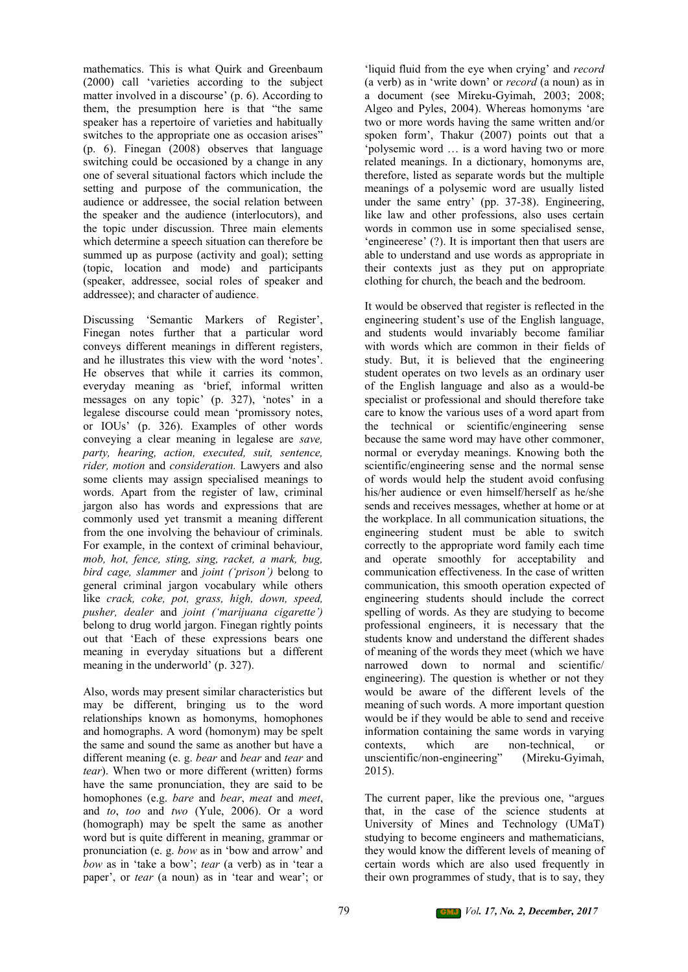mathematics. This is what Quirk and Greenbaum (2000) call 'varieties according to the subject matter involved in a discourse' (p. 6). According to them, the presumption here is that "the same speaker has a repertoire of varieties and habitually switches to the appropriate one as occasion arises" (p. 6). Finegan (2008) observes that language switching could be occasioned by a change in any one of several situational factors which include the setting and purpose of the communication, the audience or addressee, the social relation between the speaker and the audience (interlocutors), and the topic under discussion. Three main elements which determine a speech situation can therefore be summed up as purpose (activity and goal); setting (topic, location and mode) and participants (speaker, addressee, social roles of speaker and addressee); and character of audience.

Discussing 'Semantic Markers of Register', Finegan notes further that a particular word conveys different meanings in different registers, and he illustrates this view with the word 'notes'. He observes that while it carries its common, everyday meaning as 'brief, informal written messages on any topic' (p. 327), 'notes' in a legalese discourse could mean 'promissory notes, or IOUs' (p. 326). Examples of other words conveying a clear meaning in legalese are *save, party, hearing, action, executed, suit, sentence, rider, motion* and *consideration.* Lawyers and also some clients may assign specialised meanings to words. Apart from the register of law, criminal jargon also has words and expressions that are commonly used yet transmit a meaning different from the one involving the behaviour of criminals. For example, in the context of criminal behaviour, *mob, hot, fence, sting, sing, racket, a mark, bug, bird cage, slammer* and *joint ('prison')* belong to general criminal jargon vocabulary while others like *crack, coke, pot, grass, high, down, speed, pusher, dealer* and *joint ('marijuana cigarette')* belong to drug world jargon. Finegan rightly points out that 'Each of these expressions bears one meaning in everyday situations but a different meaning in the underworld' (p. 327).

Also, words may present similar characteristics but may be different, bringing us to the word relationships known as homonyms, homophones and homographs. A word (homonym) may be spelt the same and sound the same as another but have a different meaning (e. g. *bear* and *bear* and *tear* and *tear*). When two or more different (written) forms have the same pronunciation, they are said to be homophones (e.g. *bare* and *bear*, *meat* and *meet*, and *to*, *too* and *two* (Yule, 2006). Or a word (homograph) may be spelt the same as another word but is quite different in meaning, grammar or pronunciation (e. g. *bow* as in 'bow and arrow' and *bow* as in 'take a bow'; *tear* (a verb) as in 'tear a paper', or *tear* (a noun) as in 'tear and wear'; or 'liquid fluid from the eye when crying' and *record* (a verb) as in 'write down' or *record* (a noun) as in a document (see Mireku-Gyimah, 2003; 2008; Algeo and Pyles, 2004). Whereas homonyms 'are two or more words having the same written and/or spoken form', Thakur  $(2007)$  points out that a 'polysemic word … is a word having two or more related meanings. In a dictionary, homonyms are, therefore, listed as separate words but the multiple meanings of a polysemic word are usually listed under the same entry' (pp. 37-38). Engineering, like law and other professions, also uses certain words in common use in some specialised sense, 'engineerese' (?). It is important then that users are able to understand and use words as appropriate in their contexts just as they put on appropriate clothing for church, the beach and the bedroom.

It would be observed that register is reflected in the engineering student's use of the English language, and students would invariably become familiar with words which are common in their fields of study. But, it is believed that the engineering student operates on two levels as an ordinary user of the English language and also as a would-be specialist or professional and should therefore take care to know the various uses of a word apart from the technical or scientific/engineering sense because the same word may have other commoner, normal or everyday meanings. Knowing both the scientific/engineering sense and the normal sense of words would help the student avoid confusing his/her audience or even himself/herself as he/she sends and receives messages, whether at home or at the workplace. In all communication situations, the engineering student must be able to switch correctly to the appropriate word family each time and operate smoothly for acceptability and communication effectiveness. In the case of written communication, this smooth operation expected of engineering students should include the correct spelling of words. As they are studying to become professional engineers, it is necessary that the students know and understand the different shades of meaning of the words they meet (which we have narrowed down to normal and scientific/ engineering). The question is whether or not they would be aware of the different levels of the meaning of such words. A more important question would be if they would be able to send and receive information containing the same words in varying contexts, which are non-technical, or unscientific/non-engineering" (Mireku-Gyimah, 2015).

The current paper, like the previous one, "argues that, in the case of the science students at University of Mines and Technology (UMaT) studying to become engineers and mathematicians, they would know the different levels of meaning of certain words which are also used frequently in their own programmes of study, that is to say, they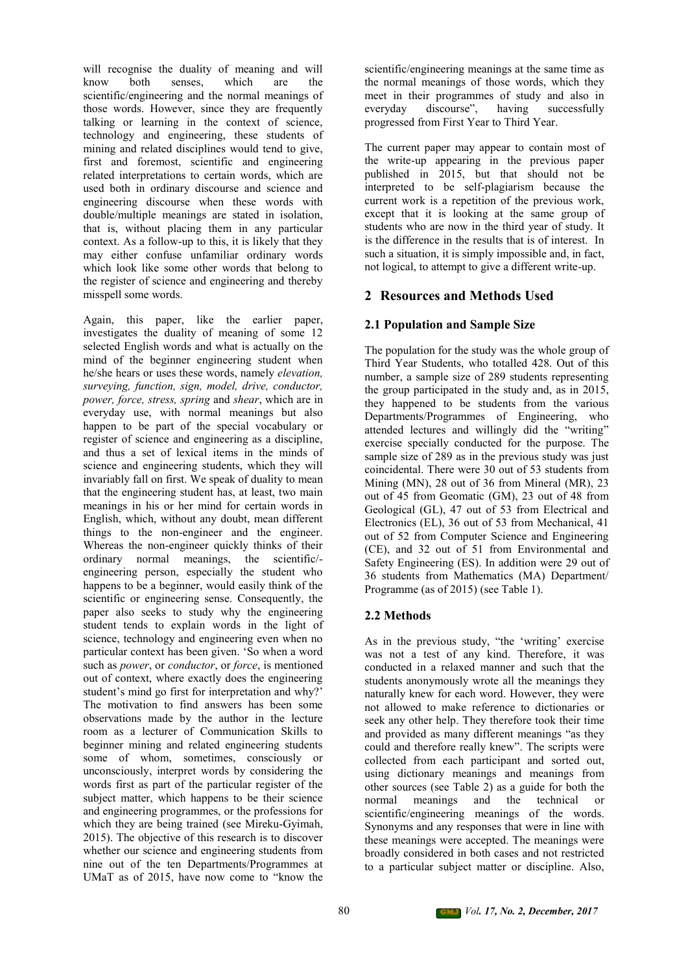will recognise the duality of meaning and will<br>know both senses, which are the senses. scientific/engineering and the normal meanings of those words. However, since they are frequently talking or learning in the context of science, technology and engineering, these students of mining and related disciplines would tend to give, first and foremost, scientific and engineering related interpretations to certain words, which are used both in ordinary discourse and science and engineering discourse when these words with double/multiple meanings are stated in isolation, that is, without placing them in any particular context. As a follow-up to this, it is likely that they may either confuse unfamiliar ordinary words which look like some other words that belong to the register of science and engineering and thereby misspell some words.

Again, this paper, like the earlier paper, investigates the duality of meaning of some 12 selected English words and what is actually on the mind of the beginner engineering student when he/she hears or uses these words, namely *elevation, surveying, function, sign, model, drive, conductor, power, force, stress, spring* and *shear*, which are in everyday use, with normal meanings but also happen to be part of the special vocabulary or register of science and engineering as a discipline, and thus a set of lexical items in the minds of science and engineering students, which they will invariably fall on first. We speak of duality to mean that the engineering student has, at least, two main meanings in his or her mind for certain words in English, which, without any doubt, mean different things to the non-engineer and the engineer. Whereas the non-engineer quickly thinks of their ordinary normal meanings, the scientific/ engineering person, especially the student who happens to be a beginner, would easily think of the scientific or engineering sense. Consequently, the paper also seeks to study why the engineering student tends to explain words in the light of science, technology and engineering even when no particular context has been given. 'So when a word such as *power*, or *conductor*, or *force*, is mentioned out of context, where exactly does the engineering student's mind go first for interpretation and why?' The motivation to find answers has been some observations made by the author in the lecture room as a lecturer of Communication Skills to beginner mining and related engineering students some of whom, sometimes, consciously or unconsciously, interpret words by considering the words first as part of the particular register of the subject matter, which happens to be their science and engineering programmes, or the professions for which they are being trained (see Mireku-Gyimah, 2015). The objective of this research is to discover whether our science and engineering students from nine out of the ten Departments/Programmes at UMaT as of 2015, have now come to "know the

scientific/engineering meanings at the same time as the normal meanings of those words, which they meet in their programmes of study and also in discourse", having successfully progressed from First Year to Third Year.

The current paper may appear to contain most of the write-up appearing in the previous paper published in 2015, but that should not be interpreted to be self-plagiarism because the current work is a repetition of the previous work, except that it is looking at the same group of students who are now in the third year of study. It is the difference in the results that is of interest. In such a situation, it is simply impossible and, in fact, not logical, to attempt to give a different write-up.

#### **2 Resources and Methods Used**

#### **2.1 Population and Sample Size**

The population for the study was the whole group of Third Year Students, who totalled 428. Out of this number, a sample size of 289 students representing the group participated in the study and, as in 2015, they happened to be students from the various Departments/Programmes of Engineering, who attended lectures and willingly did the "writing" exercise specially conducted for the purpose. The sample size of 289 as in the previous study was just coincidental. There were 30 out of 53 students from Mining (MN), 28 out of 36 from Mineral (MR), 23 out of 45 from Geomatic (GM), 23 out of 48 from Geological (GL), 47 out of 53 from Electrical and Electronics (EL), 36 out of 53 from Mechanical, 41 out of 52 from Computer Science and Engineering (CE), and 32 out of 51 from Environmental and Safety Engineering (ES). In addition were 29 out of 36 students from Mathematics (MA) Department/ Programme (as of 2015) (see Table 1).

## **2.2 Methods**

As in the previous study, "the 'writing' exercise was not a test of any kind. Therefore, it was conducted in a relaxed manner and such that the students anonymously wrote all the meanings they naturally knew for each word. However, they were not allowed to make reference to dictionaries or seek any other help. They therefore took their time and provided as many different meanings "as they could and therefore really knew". The scripts were collected from each participant and sorted out, using dictionary meanings and meanings from other sources (see Table 2) as a guide for both the normal meanings and the technical or scientific/engineering meanings of the words. Synonyms and any responses that were in line with these meanings were accepted. The meanings were broadly considered in both cases and not restricted to a particular subject matter or discipline. Also,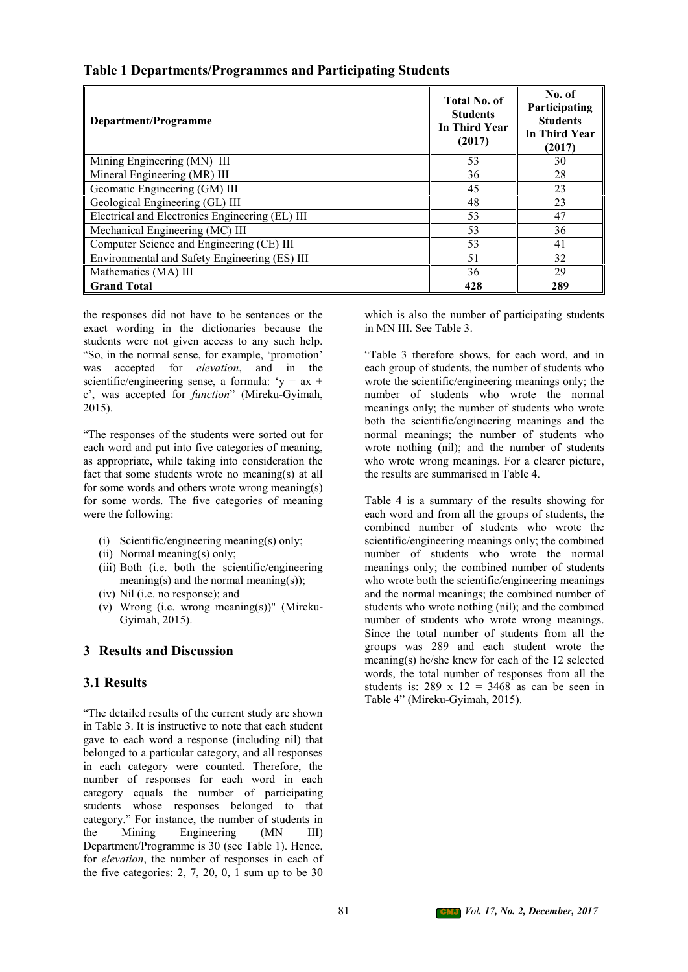| Department/Programme                            | <b>Total No. of</b><br><b>Students</b><br>In Third Year<br>(2017) | No. of<br>Participating<br><b>Students</b><br><b>In Third Year</b><br>(2017) |
|-------------------------------------------------|-------------------------------------------------------------------|------------------------------------------------------------------------------|
| Mining Engineering (MN) III                     | 53                                                                | 30                                                                           |
| Mineral Engineering (MR) III                    | 36                                                                | 28                                                                           |
| Geomatic Engineering (GM) III                   | 45                                                                | 23                                                                           |
| Geological Engineering (GL) III                 | 48                                                                | 23                                                                           |
| Electrical and Electronics Engineering (EL) III | 53                                                                | 47                                                                           |
| Mechanical Engineering (MC) III                 | 53                                                                | 36                                                                           |
| Computer Science and Engineering (CE) III       | 53                                                                | 41                                                                           |
| Environmental and Safety Engineering (ES) III   | 51                                                                | 32                                                                           |
| Mathematics (MA) III                            | 36                                                                | 29                                                                           |
| <b>Grand Total</b>                              | 428                                                               | 289                                                                          |

## **Table 1 Departments/Programmes and Participating Students**

the responses did not have to be sentences or the exact wording in the dictionaries because the students were not given access to any such help. "So, in the normal sense, for example, 'promotion' was accepted for *elevation*, and in the scientific/engineering sense, a formula: ' $y = ax +$ c', was accepted for *function*" (Mireku-Gyimah, 2015).

"The responses of the students were sorted out for each word and put into five categories of meaning, as appropriate, while taking into consideration the fact that some students wrote no meaning(s) at all for some words and others wrote wrong meaning(s) for some words. The five categories of meaning were the following:

- (i) Scientific/engineering meaning(s) only;
- (ii) Normal meaning(s) only;
- (iii) Both (i.e. both the scientific/engineering meaning(s) and the normal meaning(s));
- (iv) Nil (i.e. no response); and
- (v) Wrong (i.e. wrong meaning(s))" (Mireku- Gyimah, 2015).

#### **3 Results and Discussion**

#### **3.1 Results**

"The detailed results of the current study are shown in Table 3. It is instructive to note that each student gave to each word a response (including nil) that belonged to a particular category, and all responses in each category were counted. Therefore, the number of responses for each word in each category equals the number of participating students whose responses belonged to that category." For instance, the number of students in the Mining Engineering (MN III) Department/Programme is 30 (see Table 1). Hence, for *elevation*, the number of responses in each of the five categories:  $2, 7, 20, 0, 1$  sum up to be 30

which is also the number of participating students in MN III. See Table 3.

"Table 3 therefore shows, for each word, and in each group of students, the number of students who wrote the scientific/engineering meanings only; the number of students who wrote the normal meanings only; the number of students who wrote both the scientific/engineering meanings and the normal meanings; the number of students who wrote nothing (nil); and the number of students who wrote wrong meanings. For a clearer picture, the results are summarised in Table 4.

Table 4 is a summary of the results showing for each word and from all the groups of students, the combined number of students who wrote the scientific/engineering meanings only; the combined number of students who wrote the normal meanings only; the combined number of students who wrote both the scientific/engineering meanings and the normal meanings; the combined number of students who wrote nothing (nil); and the combined number of students who wrote wrong meanings. Since the total number of students from all the groups was 289 and each student wrote the meaning(s) he/she knew for each of the 12 selected words, the total number of responses from all the students is:  $289 \times 12 = 3468$  as can be seen in Table 4" (Mireku-Gyimah, 2015).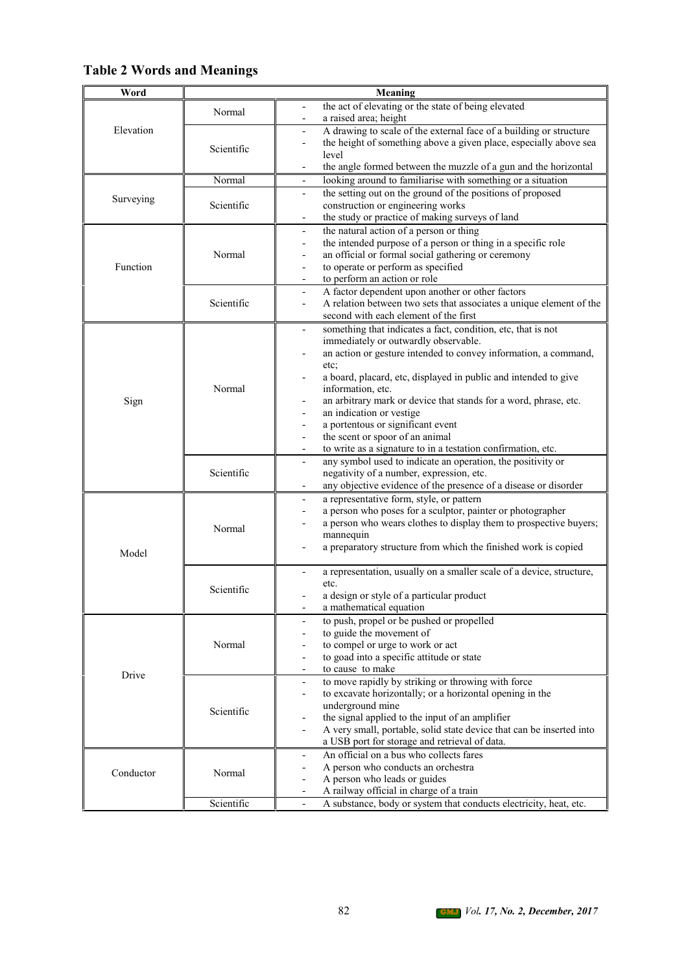## **Table 2 Words and Meanings**

| Word      |            | Meaning                                                                                                                                                                                                                                                                                                                                                                                                                                                                                                                                                                 |
|-----------|------------|-------------------------------------------------------------------------------------------------------------------------------------------------------------------------------------------------------------------------------------------------------------------------------------------------------------------------------------------------------------------------------------------------------------------------------------------------------------------------------------------------------------------------------------------------------------------------|
|           | Normal     | the act of elevating or the state of being elevated<br>a raised area; height                                                                                                                                                                                                                                                                                                                                                                                                                                                                                            |
| Elevation | Scientific | A drawing to scale of the external face of a building or structure<br>the height of something above a given place, especially above sea<br>level<br>the angle formed between the muzzle of a gun and the horizontal                                                                                                                                                                                                                                                                                                                                                     |
|           | Normal     | looking around to familiarise with something or a situation                                                                                                                                                                                                                                                                                                                                                                                                                                                                                                             |
| Surveying | Scientific | the setting out on the ground of the positions of proposed<br>$\overline{\phantom{0}}$<br>construction or engineering works<br>the study or practice of making surveys of land<br>$\frac{1}{2}$                                                                                                                                                                                                                                                                                                                                                                         |
| Function  | Normal     | the natural action of a person or thing<br>$\overline{\phantom{0}}$<br>the intended purpose of a person or thing in a specific role<br>$\overline{\phantom{0}}$<br>an official or formal social gathering or ceremony<br>to operate or perform as specified<br>$\overline{\phantom{0}}$<br>to perform an action or role                                                                                                                                                                                                                                                 |
|           | Scientific | A factor dependent upon another or other factors<br>A relation between two sets that associates a unique element of the<br>$\overline{\phantom{0}}$<br>second with each element of the first                                                                                                                                                                                                                                                                                                                                                                            |
| Sign      | Normal     | something that indicates a fact, condition, etc, that is not<br>$\overline{\phantom{0}}$<br>immediately or outwardly observable.<br>an action or gesture intended to convey information, a command,<br>etc;<br>a board, placard, etc, displayed in public and intended to give<br>information, etc.<br>an arbitrary mark or device that stands for a word, phrase, etc.<br>an indication or vestige<br>a portentous or significant event<br>the scent or spoor of an animal<br>to write as a signature to in a testation confirmation, etc.<br>$\overline{\phantom{a}}$ |
|           | Scientific | any symbol used to indicate an operation, the positivity or<br>$\overline{\phantom{a}}$<br>negativity of a number, expression, etc.<br>any objective evidence of the presence of a disease or disorder                                                                                                                                                                                                                                                                                                                                                                  |
| Model     | Normal     | a representative form, style, or pattern<br>a person who poses for a sculptor, painter or photographer<br>$\overline{a}$<br>a person who wears clothes to display them to prospective buyers;<br>mannequin<br>a preparatory structure from which the finished work is copied                                                                                                                                                                                                                                                                                            |
|           | Scientific | a representation, usually on a smaller scale of a device, structure,<br>etc.<br>a design or style of a particular product<br>a mathematical equation<br>$\overline{\phantom{a}}$                                                                                                                                                                                                                                                                                                                                                                                        |
|           | Normal     | to push, propel or be pushed or propelled<br>$\overline{\phantom{a}}$<br>to guide the movement of<br>to compel or urge to work or act<br>to goad into a specific attitude or state<br>$\overline{a}$<br>to cause to make<br>$\overline{\phantom{0}}$                                                                                                                                                                                                                                                                                                                    |
| Drive     | Scientific | to move rapidly by striking or throwing with force<br>to excavate horizontally; or a horizontal opening in the<br>underground mine<br>the signal applied to the input of an amplifier<br>A very small, portable, solid state device that can be inserted into<br>a USB port for storage and retrieval of data.                                                                                                                                                                                                                                                          |
| Conductor | Normal     | An official on a bus who collects fares<br>A person who conducts an orchestra<br>A person who leads or guides<br>A railway official in charge of a train                                                                                                                                                                                                                                                                                                                                                                                                                |
|           | Scientific | A substance, body or system that conducts electricity, heat, etc.                                                                                                                                                                                                                                                                                                                                                                                                                                                                                                       |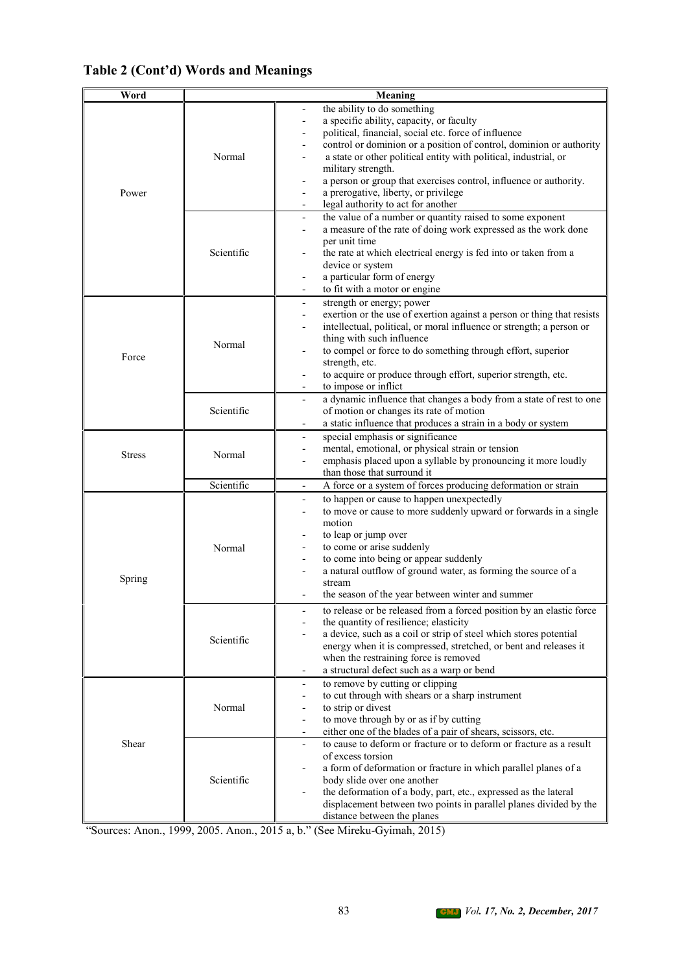## **Table 2 (Cont'd) Words and Meanings**

| Word          |                      | Meaning                                                                                                                                                                                                                                                                                                                                                                                                                                                                         |
|---------------|----------------------|---------------------------------------------------------------------------------------------------------------------------------------------------------------------------------------------------------------------------------------------------------------------------------------------------------------------------------------------------------------------------------------------------------------------------------------------------------------------------------|
| Power         | Normal               | the ability to do something<br>a specific ability, capacity, or faculty<br>political, financial, social etc. force of influence<br>control or dominion or a position of control, dominion or authority<br>a state or other political entity with political, industrial, or<br>military strength.<br>a person or group that exercises control, influence or authority.<br>a prerogative, liberty, or privilege<br>legal authority to act for another<br>$\overline{\phantom{a}}$ |
|               | Scientific           | the value of a number or quantity raised to some exponent<br>$\overline{\phantom{a}}$<br>a measure of the rate of doing work expressed as the work done<br>per unit time<br>the rate at which electrical energy is fed into or taken from a<br>device or system<br>a particular form of energy<br>to fit with a motor or engine<br>$\blacksquare$                                                                                                                               |
| Force         | Normal               | strength or energy; power<br>$\overline{\phantom{a}}$<br>exertion or the use of exertion against a person or thing that resists<br>intellectual, political, or moral influence or strength; a person or<br>thing with such influence<br>to compel or force to do something through effort, superior<br>strength, etc.<br>to acquire or produce through effort, superior strength, etc.<br>to impose or inflict                                                                  |
|               | Scientific           | a dynamic influence that changes a body from a state of rest to one<br>$\overline{\phantom{a}}$<br>of motion or changes its rate of motion<br>a static influence that produces a strain in a body or system                                                                                                                                                                                                                                                                     |
| <b>Stress</b> | Normal<br>Scientific | special emphasis or significance<br>mental, emotional, or physical strain or tension<br>emphasis placed upon a syllable by pronouncing it more loudly<br>than those that surround it<br>A force or a system of forces producing deformation or strain<br>$\overline{\phantom{a}}$                                                                                                                                                                                               |
| Spring        | Normal               | to happen or cause to happen unexpectedly<br>$\overline{\phantom{a}}$<br>to move or cause to more suddenly upward or forwards in a single<br>motion<br>to leap or jump over<br>to come or arise suddenly<br>to come into being or appear suddenly<br>a natural outflow of ground water, as forming the source of a<br>stream<br>the season of the year between winter and summer                                                                                                |
|               | Scientific           | to release or be released from a forced position by an elastic force<br>the quantity of resilience; elasticity<br>a device, such as a coil or strip of steel which stores potential<br>energy when it is compressed, stretched, or bent and releases it<br>when the restraining force is removed<br>a structural defect such as a warp or bend                                                                                                                                  |
|               | Normal               | to remove by cutting or clipping<br>$\overline{\phantom{a}}$<br>to cut through with shears or a sharp instrument<br>to strip or divest<br>to move through by or as if by cutting<br>either one of the blades of a pair of shears, scissors, etc.<br>$\overline{\phantom{a}}$                                                                                                                                                                                                    |
| Shear         | Scientific           | to cause to deform or fracture or to deform or fracture as a result<br>$\overline{\phantom{a}}$<br>of excess torsion<br>a form of deformation or fracture in which parallel planes of a<br>body slide over one another<br>the deformation of a body, part, etc., expressed as the lateral<br>displacement between two points in parallel planes divided by the<br>distance between the planes                                                                                   |

"Sources: Anon., 1999, 2005. Anon., 2015 a, b." (See Mireku-Gyimah, 2015)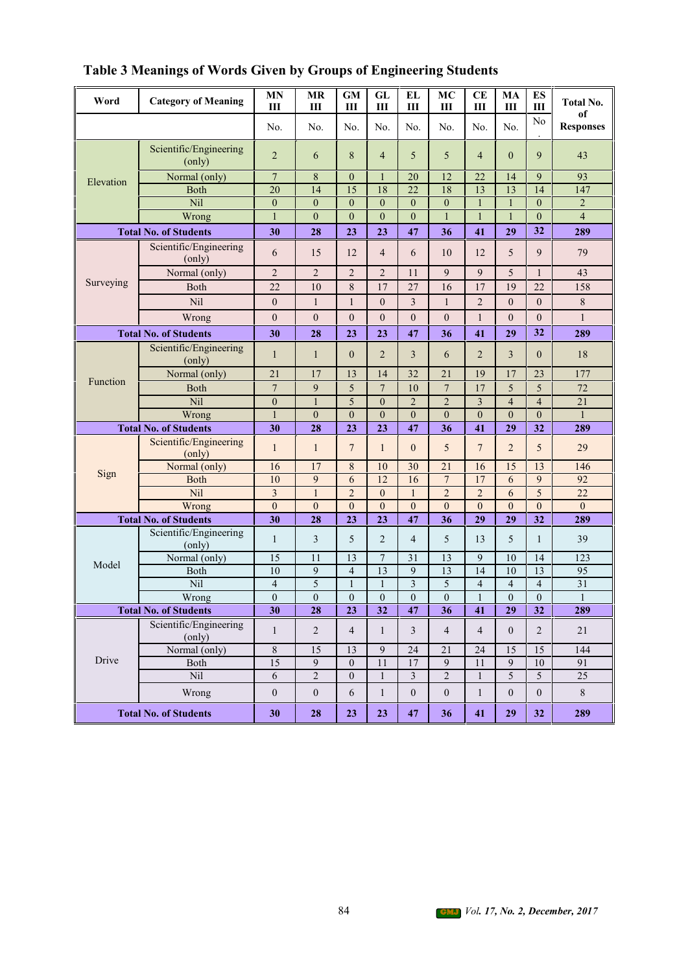| Word      | <b>Category of Meaning</b>       | <b>MN</b><br>Ш                                                                                                                            | <b>MR</b><br>Ш                   | <b>GM</b><br>Ш               | GL<br>Ш                        | EL<br>Ш                    | MC<br>Ш                            | <b>CE</b><br>Ш                          | MA<br>Ш                          | ES<br>Ш                          | <b>Total No.</b>       |
|-----------|----------------------------------|-------------------------------------------------------------------------------------------------------------------------------------------|----------------------------------|------------------------------|--------------------------------|----------------------------|------------------------------------|-----------------------------------------|----------------------------------|----------------------------------|------------------------|
|           |                                  | No.                                                                                                                                       | No.                              | No.                          | No.                            | No.                        | No.                                | No.                                     | No.                              | No                               | оf<br><b>Responses</b> |
|           | Scientific/Engineering<br>(only) | $\overline{2}$                                                                                                                            | 6                                | 8                            | $\overline{4}$                 | 5                          | 5                                  | $\overline{4}$                          | $\mathbf{0}$                     | 9                                | 43                     |
| Elevation | Normal (only)                    | $\overline{7}$                                                                                                                            | 8                                | $\Omega$                     | 1                              | 20                         | 12                                 | 22                                      | 14                               | 9                                | 93                     |
|           | <b>Both</b>                      | 20                                                                                                                                        | 14                               | 15                           | 18                             | 22                         | 18                                 | 13                                      | 13                               | 14                               | 147                    |
|           | Nil                              | $\overline{0}$                                                                                                                            | $\overline{0}$                   | $\theta$                     | $\theta$                       | $\Omega$                   | $\overline{0}$                     | $\mathbf{1}$                            | $\mathbf{1}$                     | $\theta$                         | $\overline{2}$         |
|           | Wrong                            | $\mathbf{1}$                                                                                                                              | $\overline{0}$                   | $\theta$                     | $\theta$                       | $\theta$                   | $\mathbf{1}$                       | $\mathbf{1}$                            | $\mathbf{1}$                     | $\theta$                         | $\overline{4}$         |
|           | <b>Total No. of Students</b>     | 30                                                                                                                                        | 28                               | 23                           | 23                             | 47                         | 36                                 | 41                                      | 29                               | 32                               | 289                    |
|           | Scientific/Engineering<br>(only) | 6                                                                                                                                         | 15                               | 12                           | $\overline{4}$                 | 6                          | 10                                 | 12                                      | 5                                | 9                                | 79                     |
|           | Normal (only)                    | $\overline{2}$                                                                                                                            | $\overline{2}$                   | $\overline{2}$               | $\overline{2}$                 | 11                         | 9                                  | 9                                       | 5                                | $\mathbf{1}$                     | 43                     |
| Surveying | Both                             | 22                                                                                                                                        | 10                               | 8                            | 17                             | 27                         | 16                                 | 17                                      | 19                               | 22                               | 158                    |
|           | Nil                              | $\theta$                                                                                                                                  | $\mathbf{1}$                     | 1                            | $\theta$                       | 3                          | $\mathbf{1}$                       | $\overline{2}$                          | $\mathbf{0}$                     | $\overline{0}$                   | 8                      |
|           | Wrong                            | $\overline{0}$                                                                                                                            | $\mathbf{0}$                     | $\mathbf{0}$                 | $\theta$                       | $\overline{0}$             | $\mathbf{0}$                       | $\mathbf{1}$                            | $\mathbf{0}$                     | $\overline{0}$                   | $\mathbf{1}$           |
|           | <b>Total No. of Students</b>     | 30                                                                                                                                        | 28                               | 23                           | 23                             | 47                         | 36                                 | 41                                      | 29                               | 32                               | 289                    |
|           | Scientific/Engineering<br>(only) | $\mathbf{1}$                                                                                                                              | $\mathbf{1}$                     | $\Omega$                     | $\overline{2}$                 | 3                          | 6                                  | $\overline{2}$                          | 3                                | $\overline{0}$                   | 18                     |
|           | Normal (only)                    | 21                                                                                                                                        | 17                               | 13                           | 14                             | 32                         | 21                                 | 19                                      | 17                               | 23                               | 177                    |
| Function  | <b>Both</b>                      | $\overline{7}$                                                                                                                            | 9                                | 5                            | $\overline{7}$                 | 10                         | $\overline{7}$                     | 17                                      | 5                                | 5                                | 72                     |
|           | Nil                              | 5<br>$\overline{2}$<br>$\overline{2}$<br>$\overline{3}$<br>$\mathbf{1}$<br>$\overline{4}$<br>$\overline{4}$<br>$\overline{0}$<br>$\theta$ | $\overline{21}$                  |                              |                                |                            |                                    |                                         |                                  |                                  |                        |
|           | Wrong                            | $\mathbf{1}$                                                                                                                              | $\mathbf{0}$                     | $\mathbf{0}$                 | $\overline{0}$                 | $\overline{0}$             | $\mathbf{0}$                       | $\boldsymbol{0}$                        | $\mathbf{0}$                     | $\mathbf{0}$                     | $\mathbf{1}$           |
|           | <b>Total No. of Students</b>     | 30                                                                                                                                        | 28                               | 23                           | 23                             | 47                         | 36                                 | 41                                      | 29                               | 32                               | 289                    |
|           | Scientific/Engineering<br>(only) | $\mathbf{1}$                                                                                                                              | $\mathbf{1}$                     | $\overline{7}$               | $\mathbf{1}$                   | $\theta$                   | 5                                  | $\overline{7}$                          | $\overline{2}$                   | 5                                | 29                     |
| Sign      | Normal (only)                    | 16                                                                                                                                        | 17                               | 8                            | 10                             | 30                         | 21                                 | 16                                      | 15                               | 13                               | 146                    |
|           | <b>Both</b>                      | 10                                                                                                                                        | 9                                | 6                            | 12                             | 16                         | $\overline{7}$                     | 17                                      | 6                                | 9                                | 92                     |
|           | Nil                              | 3                                                                                                                                         | $\mathbf{1}$                     | $\overline{2}$               | $\overline{0}$                 | $\mathbf{1}$               | $\overline{2}$                     | $\overline{c}$                          | 6                                | 5                                | 22                     |
|           | Wrong                            | $\theta$                                                                                                                                  | $\mathbf{0}$                     | $\Omega$                     | $\theta$                       | $\Omega$                   | $\theta$                           | $\mathbf{0}$                            | $\mathbf{0}$                     | $\overline{0}$                   | $\Omega$               |
|           | <b>Total No. of Students</b>     | 30                                                                                                                                        | 28                               | 23                           | 23                             | 47                         | 36                                 | 29                                      | 29                               | 32                               | 289                    |
|           | Scientific/Engineering<br>(only) | $\mathbf{1}$                                                                                                                              | 3                                | 5                            | $\overline{2}$                 | $\overline{4}$             | 5                                  | 13                                      | 5                                | 1                                | 39                     |
| Model     | Normal (only)                    | 15                                                                                                                                        | 11                               | 13                           | $\overline{7}$                 | 31                         | 13                                 | 9                                       | 10                               | 14                               | 123                    |
|           | Both                             | 10                                                                                                                                        | 9                                | $\overline{4}$               | 13                             | 9                          | 13                                 | 14                                      | 10                               | 13                               | 95                     |
|           | Nil<br>Wrong                     | $\overline{4}$<br>$\overline{0}$                                                                                                          | 5<br>$\overline{0}$              | 1<br>$\overline{0}$          | $\mathbf{1}$<br>$\overline{0}$ | $\mathfrak{Z}$<br>$\theta$ | 5<br>$\theta$                      | $\overline{\mathbf{4}}$<br>$\mathbf{1}$ | $\overline{4}$<br>$\overline{0}$ | $\overline{4}$<br>$\overline{0}$ | 31<br>$\mathbf{1}$     |
|           | <b>Total No. of Students</b>     | 30                                                                                                                                        | 28                               | 23                           | 32                             | 47                         | 36                                 | 41                                      | 29                               | 32                               | 289                    |
|           | Scientific/Engineering           |                                                                                                                                           |                                  |                              |                                |                            |                                    |                                         |                                  |                                  |                        |
|           | (only)                           | $\mathbf{1}$                                                                                                                              | $\overline{c}$                   | $\overline{4}$               | $\mathbf{1}$                   | 3                          | $\overline{4}$                     | $\overline{4}$                          | $\mathbf{0}$                     | $\overline{2}$                   | 21                     |
| Drive     | Normal (only)                    | $\,8\,$<br>$\overline{15}$                                                                                                                | 15                               | 13                           | 9                              | 24                         | 21                                 | 24                                      | 15                               | 15                               | 144                    |
|           | Both<br>Nil                      |                                                                                                                                           | 9                                | $\mathbf{0}$<br>$\mathbf{0}$ | 11                             | 17                         | 9                                  | 11                                      | 9                                | 10                               | 91                     |
|           | Wrong                            | 6<br>$\boldsymbol{0}$                                                                                                                     | $\mathbf{2}$<br>$\boldsymbol{0}$ | 6                            | $\mathbf{1}$<br>$\mathbf{1}$   | 3<br>$\boldsymbol{0}$      | $\overline{c}$<br>$\boldsymbol{0}$ | $\mathbf{1}$<br>$\mathbf{1}$            | 5<br>$\boldsymbol{0}$            | 5<br>$\boldsymbol{0}$            | 25<br>$8\,$            |
|           | <b>Total No. of Students</b>     | 30                                                                                                                                        | 28                               | 23                           | 23                             | 47                         | 36                                 | 41                                      | 29                               | 32                               | 289                    |

**Table 3 Meanings of Words Given by Groups of Engineering Students**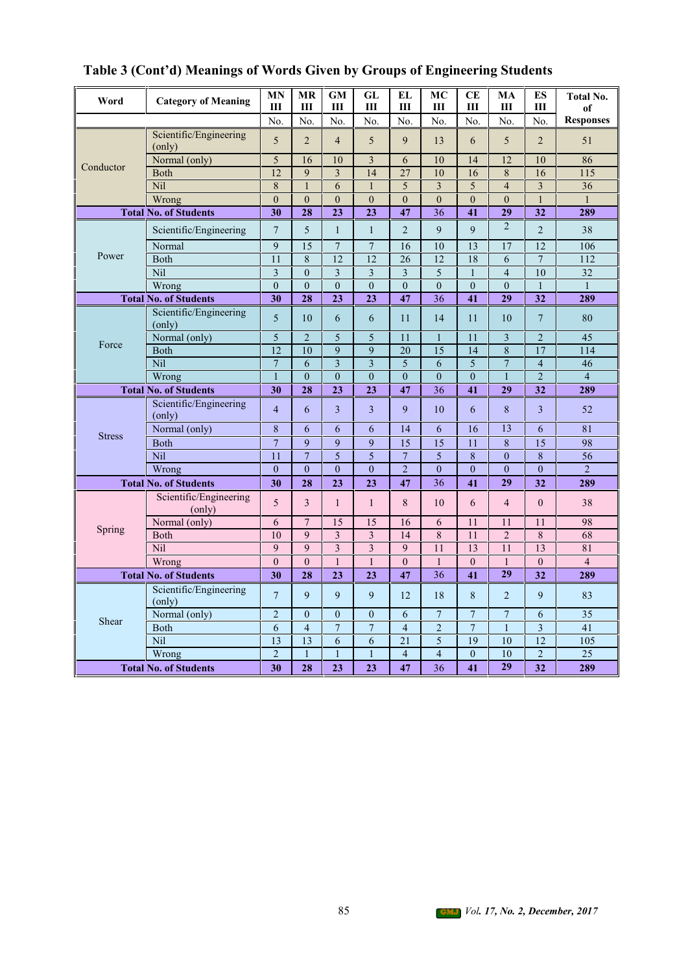| Word          | <b>Category of Meaning</b>       | <b>MN</b><br>Ш          | MR<br>III        | <b>GM</b><br>Ш          | GL<br>Ш                 | EL<br>III       | MC<br>Ш                 | CЕ<br>Ш          | MA<br>III      | ES<br>Ш         | <b>Total No.</b><br>of |
|---------------|----------------------------------|-------------------------|------------------|-------------------------|-------------------------|-----------------|-------------------------|------------------|----------------|-----------------|------------------------|
|               |                                  | No.                     | No.              | No.                     | No.                     | No.             | No.                     | No.              | No.            | No.             | <b>Responses</b>       |
|               | Scientific/Engineering<br>(only) | 5                       | $\overline{2}$   | $\overline{4}$          | 5                       | 9               | 13                      | 6                | 5              | $\overline{2}$  | 51                     |
|               | Normal (only)                    | 5                       | 16               | 10                      | $\overline{\mathbf{3}}$ | 6               | 10                      | 14               | 12             | 10              | 86                     |
| Conductor     | Both                             | $\overline{12}$         | $\mathbf Q$      | 3                       | 14                      | 27              | 10                      | 16               | 8              | 16              | 115                    |
|               | Nil                              | $\,8\,$                 | $\mathbf{1}$     | 6                       | $\mathbf{1}$            | 5               | $\overline{\mathbf{3}}$ | 5                | $\overline{4}$ | $\overline{3}$  | $\overline{36}$        |
|               | Wrong                            | $\mathbf{0}$            | $\mathbf{0}$     | $\overline{0}$          | $\overline{0}$          | $\mathbf{0}$    | $\mathbf{0}$            | $\overline{0}$   | $\theta$       | $\mathbf{1}$    | $\mathbf{1}$           |
|               | <b>Total No. of Students</b>     | 30                      | 28               | 23                      | 23                      | 47              | 36                      | 41               | 29             | 32              | 289                    |
|               | Scientific/Engineering           | 7                       | 5                | $\mathbf{1}$            | $\mathbf{1}$            | $\overline{2}$  | 9                       | 9                | $\overline{2}$ | $\overline{2}$  | 38                     |
|               | Normal                           | 9                       | 15               | $\overline{7}$          | $\overline{7}$          | 16              | 10                      | 13               | 17             | 12              | 106                    |
| Power         | Both                             | $\overline{11}$         | $\overline{8}$   | $\overline{12}$         | 12                      | $\overline{26}$ | 12                      | 18               | 6              | $\overline{7}$  | 112                    |
|               | Nil                              | $\overline{\mathbf{3}}$ | $\boldsymbol{0}$ | $\overline{3}$          | 3                       | 3               | 5                       | $\mathbf{1}$     | $\overline{4}$ | $\overline{10}$ | $\overline{32}$        |
|               | Wrong                            | $\mathbf{0}$            | $\overline{0}$   | $\overline{0}$          | $\theta$                | $\theta$        | $\mathbf{0}$            | $\overline{0}$   | $\theta$       | $\mathbf{1}$    | $\mathbf{1}$           |
|               | <b>Total No. of Students</b>     | $\overline{30}$         | $\overline{28}$  | $\overline{23}$         | 2 <sub>3</sub>          | 47              | 36                      | 41               | 29             | $\overline{32}$ | 289                    |
|               | Scientific/Engineering<br>(only) | 5                       | 10               | 6                       | 6                       | 11              | 14                      | 11               | 10             | $\tau$          | 80                     |
|               | Normal (only)                    | 5                       | $\overline{2}$   | 5                       | 5                       | 11              | $\mathbf{1}$            | 11               | $\overline{3}$ | $\overline{2}$  | 45                     |
| Force         | <b>Both</b>                      | 12                      | 10               | 9                       | 9                       | 20              | $\overline{15}$         | 14               | 8              | 17              | 114                    |
|               | <b>Nil</b>                       | $\boldsymbol{7}$        | 6                | $\overline{\mathbf{3}}$ | 3                       | 5               | 6                       | 5                | $\overline{7}$ | $\overline{4}$  | 46                     |
|               | Wrong                            | $\mathbf{1}$            | $\theta$         | $\overline{0}$          | $\theta$                | $\theta$        | $\mathbf{0}$            | $\theta$         | $\mathbf{1}$   | $\overline{2}$  | $\overline{4}$         |
|               | <b>Total No. of Students</b>     | 30                      | 28               | 23                      | 23                      | 47              | $\overline{36}$         | 41               | 29             | 32              | 289                    |
|               | Scientific/Engineering<br>(only) | $\overline{4}$          | 6                | 3                       | 3                       | 9               | 10                      | 6                | 8              | 3               | 52                     |
|               | Normal (only)                    | $\,$ 8 $\,$             | 6                | 6                       | 6                       | 14              | 6                       | 16               | 13             | 6               | 81                     |
| <b>Stress</b> | <b>Both</b>                      | $\overline{7}$          | 9                | 9                       | 9                       | $\overline{15}$ | $\overline{15}$         | 11               | 8              | $\overline{15}$ | 98                     |
|               | Nil                              | 11                      | $\overline{7}$   | $\overline{5}$          | $\overline{5}$          | $\overline{7}$  | 5                       | $\overline{8}$   | $\Omega$       | $\overline{8}$  | $\overline{56}$        |
|               | Wrong                            | $\overline{0}$          | $\theta$         | $\overline{0}$          | $\theta$                | $\overline{2}$  | $\overline{0}$          | $\theta$         | $\theta$       | $\theta$        | $\overline{2}$         |
|               | <b>Total No. of Students</b>     | 30                      | 28               | 23                      | 23                      | 47              | 36                      | 41               | 29             | 32              | 289                    |
|               | Scientific/Engineering<br>(only) | 5                       | 3                | $\mathbf{1}$            | $\mathbf{1}$            | 8               | 10                      | 6                | $\overline{4}$ | $\Omega$        | 38                     |
|               | Normal (only)                    | 6                       | $\overline{7}$   | 15                      | 15                      | 16              | 6                       | 11               | 11             | 11              | 98                     |
| Spring        | Both                             | $\overline{10}$         | 9                | 3                       | 3                       | 14              | 8                       | 11               | $\overline{2}$ | 8               | 68                     |
|               | Nil                              | 9                       | 9                | $\overline{\mathbf{3}}$ | 3                       | 9               | $\overline{11}$         | 13               | 11             | 13              | 81                     |
|               | Wrong                            | $\boldsymbol{0}$        | $\mathbf{0}$     | $\mathbf{1}$            | $\mathbf{1}$            | $\theta$        | $\mathbf{1}$            | $\boldsymbol{0}$ | 1              | $\mathbf{0}$    | $\overline{4}$         |
|               | <b>Total No. of Students</b>     | 30                      | 28               | 23                      | 23                      | 47              | 36                      | 41               | 29             | 32              | 289                    |
|               | Scientific/Engineering<br>(only) | $\overline{7}$          | 9                | 9                       | 9                       | 12              | 18                      | 8                | $\overline{2}$ | 9               | 83                     |
|               | Normal (only)                    | $\overline{c}$          | $\overline{0}$   | $\overline{0}$          | $\overline{0}$          | 6               | $\boldsymbol{7}$        | $\overline{7}$   | $\overline{7}$ | 6               | $\overline{35}$        |
| Shear         | Both                             | 6                       | $\overline{4}$   | $\overline{7}$          | $\overline{7}$          | $\overline{4}$  | $\overline{2}$          | $\overline{7}$   | $\mathbf{1}$   | $\overline{3}$  | $\overline{41}$        |
|               | Nil                              | 13                      | 13               | 6                       | 6                       | 21              | 5                       | 19               | 10             | 12              | 105                    |
|               | Wrong                            | $\overline{c}$          | $\mathbf{1}$     | $\mathbf{1}$            | $\mathbf{1}$            | $\overline{4}$  | $\overline{4}$          | $\mathbf{0}$     | 10             | $\overline{2}$  | 25                     |
|               | <b>Total No. of Students</b>     | 30                      | 28               | 23                      | 23                      | 47              | 36                      | 41               | 29             | 32              | 289                    |

| Table 3 (Cont'd) Meanings of Words Given by Groups of Engineering Students |  |  |  |
|----------------------------------------------------------------------------|--|--|--|
|----------------------------------------------------------------------------|--|--|--|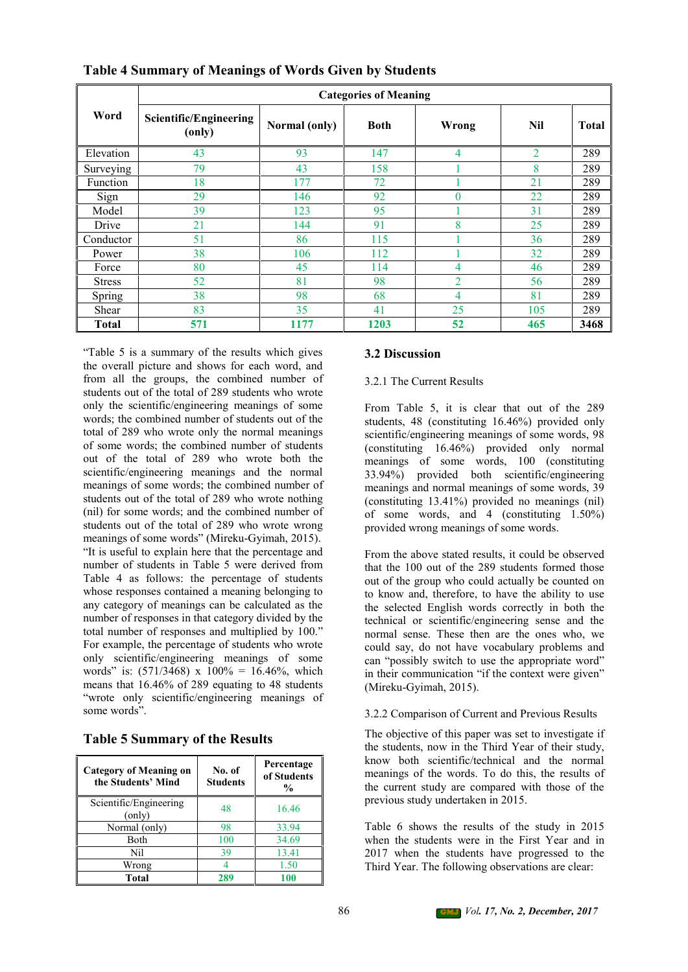|               |                                  |               | <b>Categories of Meaning</b> |                |                |              |
|---------------|----------------------------------|---------------|------------------------------|----------------|----------------|--------------|
| Word          | Scientific/Engineering<br>(only) | Normal (only) | <b>Both</b>                  | Wrong          | Nil            | <b>Total</b> |
| Elevation     | 43                               | 93            | 147                          | 4              | $\overline{2}$ | 289          |
| Surveying     | 79                               | 43            | 158                          |                | 8              | 289          |
| Function      | 18                               | 177           | 72                           |                | 21             | 289          |
| Sign          | 29                               | 146           | 92                           | $\bf{0}$       | 22             | 289          |
| Model         | 39                               | 123           | 95                           |                | 31             | 289          |
| Drive         | 21                               | 144           | 91                           | 8              | 25             | 289          |
| Conductor     | 51                               | 86            | 115                          |                | 36             | 289          |
| Power         | 38                               | 106           | 112                          |                | 32             | 289          |
| Force         | 80                               | 45            | 114                          | 4              | 46             | 289          |
| <b>Stress</b> | 52                               | 81            | 98                           | $\overline{2}$ | 56             | 289          |
| Spring        | 38                               | 98            | 68                           | 4              | 81             | 289          |
| Shear         | 83                               | 35            | 41                           | 25             | 105            | 289          |
| Total         | 571                              | 1177          | 1203                         | 52             | 465            | 3468         |

## **Table 4 Summary of Meanings of Words Given by Students**

"Table 5 is a summary of the results which gives the overall picture and shows for each word, and from all the groups, the combined number of students out of the total of 289 students who wrote only the scientific/engineering meanings of some words; the combined number of students out of the total of 289 who wrote only the normal meanings of some words; the combined number of students out of the total of 289 who wrote both the scientific/engineering meanings and the normal meanings of some words; the combined number of students out of the total of 289 who wrote nothing (nil) for some words; and the combined number of students out of the total of 289 who wrote wrong meanings of some words" (Mireku-Gyimah, 2015). "It is useful to explain here that the percentage and number of students in Table 5 were derived from Table 4 as follows: the percentage of students whose responses contained a meaning belonging to any category of meanings can be calculated as the number of responses in that category divided by the total number of responses and multiplied by 100." For example, the percentage of students who wrote only scientific/engineering meanings of some words" is:  $(571/3468)$  x  $100\% = 16.46\%$ , which means that 16.46% of 289 equating to 48 students "wrote only scientific/engineering meanings of some words".

| <b>Category of Meaning on</b><br>the Students' Mind | No. of<br><b>Students</b> | Percentage<br>of Students<br>$\frac{6}{9}$ |
|-----------------------------------------------------|---------------------------|--------------------------------------------|
| Scientific/Engineering<br>(only)                    | 48                        | 16.46                                      |
| Normal (only)                                       | 98                        | 33.94                                      |
| Both                                                | 100                       | 34.69                                      |
| Nil                                                 | 39                        | 13.41                                      |
| Wrong                                               |                           | 1.50                                       |
| Total                                               | 289                       | 100                                        |

## **Table 5 Summary of the Results**

#### **3.2 Discussion**

#### 3.2.1 The Current Results

From Table 5, it is clear that out of the 289 students, 48 (constituting 16.46%) provided only scientific/engineering meanings of some words, 98 (constituting 16.46%) provided only normal meanings of some words, 100 (constituting 33.94%) provided both scientific/engineering meanings and normal meanings of some words, 39 (constituting 13.41%) provided no meanings (nil) of some words, and 4 (constituting 1.50%) provided wrong meanings of some words.

From the above stated results, it could be observed that the 100 out of the 289 students formed those out of the group who could actually be counted on to know and, therefore, to have the ability to use the selected English words correctly in both the technical or scientific/engineering sense and the normal sense. These then are the ones who, we could say, do not have vocabulary problems and can "possibly switch to use the appropriate word" in their communication "if the context were given" (Mireku-Gyimah, 2015).

#### 3.2.2 Comparison of Current and Previous Results

The objective of this paper was set to investigate if the students, now in the Third Year of their study, know both scientific/technical and the normal meanings of the words. To do this, the results of the current study are compared with those of the previous study undertaken in 2015.

Table 6 shows the results of the study in 2015 when the students were in the First Year and in 2017 when the students have progressed to the Third Year. The following observations are clear: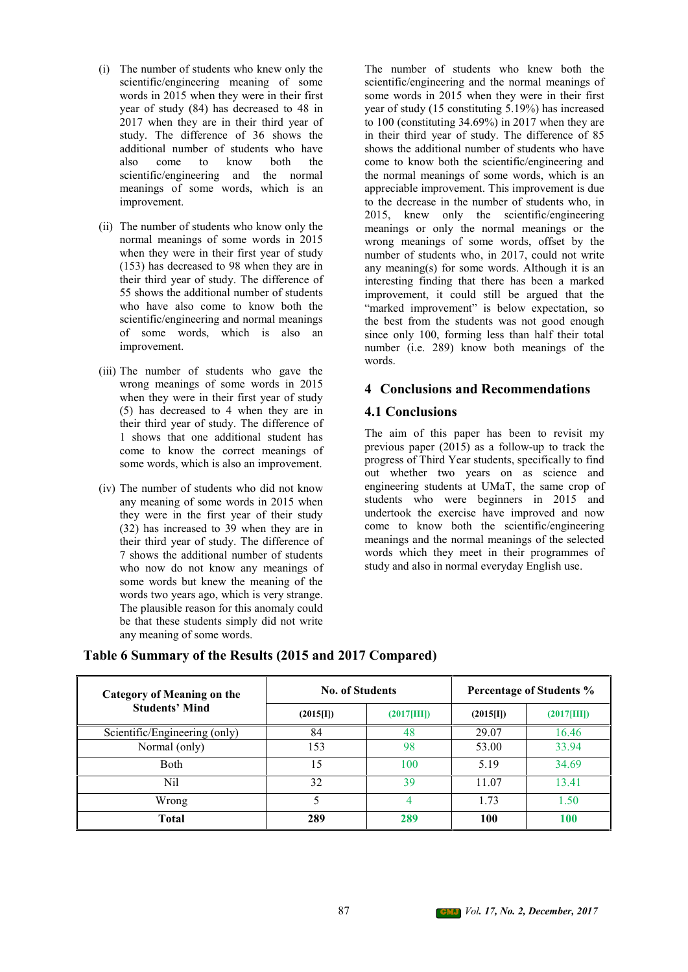- (i) The number of students who knew only the scientific/engineering meaning of some words in 2015 when they were in their first year of study (84) has decreased to 48 in 2017 when they are in their third year of study. The difference of 36 shows the additional number of students who have also come to know both the scientific/engineering and the normal meanings of some words, which is an improvement.
- (ii) The number of students who know only the normal meanings of some words in 2015 when they were in their first year of study (153) has decreased to 98 when they are in their third year of study. The difference of 55 shows the additional number of students who have also come to know both the scientific/engineering and normal meanings of some words, which is also an improvement.
- (iii) The number of students who gave the wrong meanings of some words in 2015 when they were in their first year of study (5) has decreased to 4 when they are in their third year of study. The difference of 1 shows that one additional student has come to know the correct meanings of some words, which is also an improvement.
- (iv) The number of students who did not know any meaning of some words in 2015 when they were in the first year of their study (32) has increased to 39 when they are in their third year of study. The difference of 7 shows the additional number of students who now do not know any meanings of some words but knew the meaning of the words two years ago, which is very strange. The plausible reason for this anomaly could be that these students simply did not write any meaning of some words.

The number of students who knew both the scientific/engineering and the normal meanings of some words in 2015 when they were in their first year of study (15 constituting 5.19%) has increased to 100 (constituting 34.69%) in 2017 when they are in their third year of study. The difference of 85 shows the additional number of students who have come to know both the scientific/engineering and the normal meanings of some words, which is an appreciable improvement. This improvement is due to the decrease in the number of students who, in 2015, knew only the scientific/engineering meanings or only the normal meanings or the wrong meanings of some words, offset by the number of students who, in 2017, could not write any meaning(s) for some words. Although it is an interesting finding that there has been a marked improvement, it could still be argued that the "marked improvement" is below expectation, so the best from the students was not good enough since only 100, forming less than half their total number (i.e. 289) know both meanings of the words.

#### **4 Conclusions and Recommendations**

#### **4.1 Conclusions**

The aim of this paper has been to revisit my previous paper (2015) as a follow-up to track the progress of Third Year students, specifically to find out whether two years on as science and engineering students at UMaT, the same crop of students who were beginners in 2015 and undertook the exercise have improved and now come to know both the scientific/engineering meanings and the normal meanings of the selected words which they meet in their programmes of study and also in normal everyday English use.

| <b>Category of Meaning on the</b><br><b>Students' Mind</b> | <b>No. of Students</b> |                | Percentage of Students % |             |  |
|------------------------------------------------------------|------------------------|----------------|--------------------------|-------------|--|
|                                                            | $(2015$ [I])           | $(2017$ [III]) | $(2015$ [I])             | (2017 III]) |  |
| Scientific/Engineering (only)                              | 84                     | 48             | 29.07                    | 16.46       |  |
| Normal (only)                                              | 153                    | 98             | 53.00                    | 33.94       |  |
| Both                                                       | 15                     | 100            | 5.19                     | 34.69       |  |
| Nil                                                        | 32                     | 39             | 11.07                    | 13.41       |  |
| Wrong                                                      |                        |                | 1.73                     | 1.50        |  |
| Total                                                      | 289                    | 289            | 100                      | 100         |  |

#### **Table 6 Summary of the Results (2015 and 2017 Compared)**